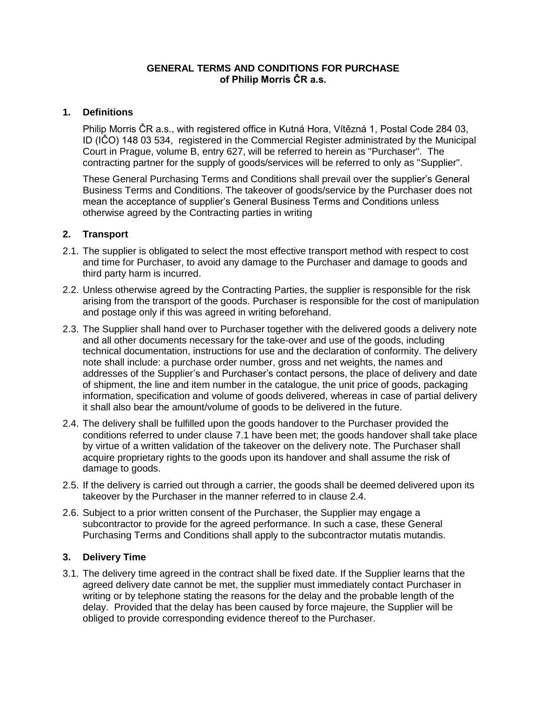### **GENERAL TERMS AND CONDITIONS FOR PURCHASE of Philip Morris ČR a.s.**

# **1. Definitions**

Philip Morris ČR a.s., with registered office in Kutná Hora, Vítězná 1, Postal Code 284 03, ID (IČO) 148 03 534, registered in the Commercial Register administrated by the Municipal Court in Prague, volume B, entry 627, will be referred to herein as "Purchaser". The contracting partner for the supply of goods/services will be referred to only as "Supplier".

These General Purchasing Terms and Conditions shall prevail over the supplier's General Business Terms and Conditions. The takeover of goods/service by the Purchaser does not mean the acceptance of supplier's General Business Terms and Conditions unless otherwise agreed by the Contracting parties in writing

# **2. Transport**

- 2.1. The supplier is obligated to select the most effective transport method with respect to cost and time for Purchaser, to avoid any damage to the Purchaser and damage to goods and third party harm is incurred.
- 2.2. Unless otherwise agreed by the Contracting Parties, the supplier is responsible for the risk arising from the transport of the goods. Purchaser is responsible for the cost of manipulation and postage only if this was agreed in writing beforehand.
- 2.3. The Supplier shall hand over to Purchaser together with the delivered goods a delivery note and all other documents necessary for the take-over and use of the goods, including technical documentation, instructions for use and the declaration of conformity. The delivery note shall include: a purchase order number, gross and net weights, the names and addresses of the Supplier's and Purchaser's contact persons, the place of delivery and date of shipment, the line and item number in the catalogue, the unit price of goods, packaging information, specification and volume of goods delivered, whereas in case of partial delivery it shall also bear the amount/volume of goods to be delivered in the future.
- 2.4. The delivery shall be fulfilled upon the goods handover to the Purchaser provided the conditions referred to under clause 7.1 have been met; the goods handover shall take place by virtue of a written validation of the takeover on the delivery note. The Purchaser shall acquire proprietary rights to the goods upon its handover and shall assume the risk of damage to goods.
- 2.5. If the delivery is carried out through a carrier, the goods shall be deemed delivered upon its takeover by the Purchaser in the manner referred to in clause 2.4.
- 2.6. Subject to a prior written consent of the Purchaser, the Supplier may engage a subcontractor to provide for the agreed performance. In such a case, these General Purchasing Terms and Conditions shall apply to the subcontractor mutatis mutandis.

# **3. Delivery Time**

3.1. The delivery time agreed in the contract shall be fixed date. If the Supplier learns that the agreed delivery date cannot be met, the supplier must immediately contact Purchaser in writing or by telephone stating the reasons for the delay and the probable length of the delay. Provided that the delay has been caused by force majeure, the Supplier will be obliged to provide corresponding evidence thereof to the Purchaser.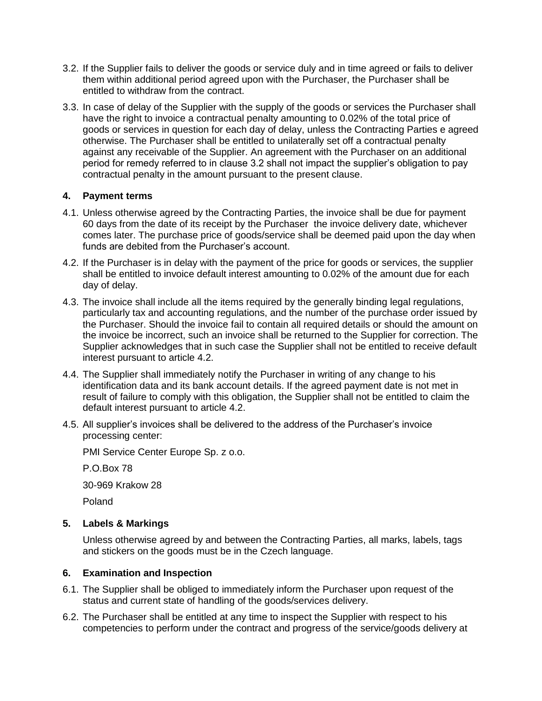- 3.2. If the Supplier fails to deliver the goods or service duly and in time agreed or fails to deliver them within additional period agreed upon with the Purchaser, the Purchaser shall be entitled to withdraw from the contract.
- 3.3. In case of delay of the Supplier with the supply of the goods or services the Purchaser shall have the right to invoice a contractual penalty amounting to 0.02% of the total price of goods or services in question for each day of delay, unless the Contracting Parties e agreed otherwise. The Purchaser shall be entitled to unilaterally set off a contractual penalty against any receivable of the Supplier. An agreement with the Purchaser on an additional period for remedy referred to in clause 3.2 shall not impact the supplier's obligation to pay contractual penalty in the amount pursuant to the present clause.

# **4. Payment terms**

- 4.1. Unless otherwise agreed by the Contracting Parties, the invoice shall be due for payment 60 days from the date of its receipt by the Purchaser the invoice delivery date, whichever comes later. The purchase price of goods/service shall be deemed paid upon the day when funds are debited from the Purchaser's account.
- 4.2. If the Purchaser is in delay with the payment of the price for goods or services, the supplier shall be entitled to invoice default interest amounting to 0.02% of the amount due for each day of delay.
- 4.3. The invoice shall include all the items required by the generally binding legal regulations, particularly tax and accounting regulations, and the number of the purchase order issued by the Purchaser. Should the invoice fail to contain all required details or should the amount on the invoice be incorrect, such an invoice shall be returned to the Supplier for correction. The Supplier acknowledges that in such case the Supplier shall not be entitled to receive default interest pursuant to article 4.2.
- 4.4. The Supplier shall immediately notify the Purchaser in writing of any change to his identification data and its bank account details. If the agreed payment date is not met in result of failure to comply with this obligation, the Supplier shall not be entitled to claim the default interest pursuant to article 4.2.
- 4.5. All supplier's invoices shall be delivered to the address of the Purchaser's invoice processing center:

PMI Service Center Europe Sp. z o.o.

P.O.Box 78 30-969 Krakow 28

Poland

# **5. Labels & Markings**

Unless otherwise agreed by and between the Contracting Parties, all marks, labels, tags and stickers on the goods must be in the Czech language.

#### **6. Examination and Inspection**

- 6.1. The Supplier shall be obliged to immediately inform the Purchaser upon request of the status and current state of handling of the goods/services delivery.
- 6.2. The Purchaser shall be entitled at any time to inspect the Supplier with respect to his competencies to perform under the contract and progress of the service/goods delivery at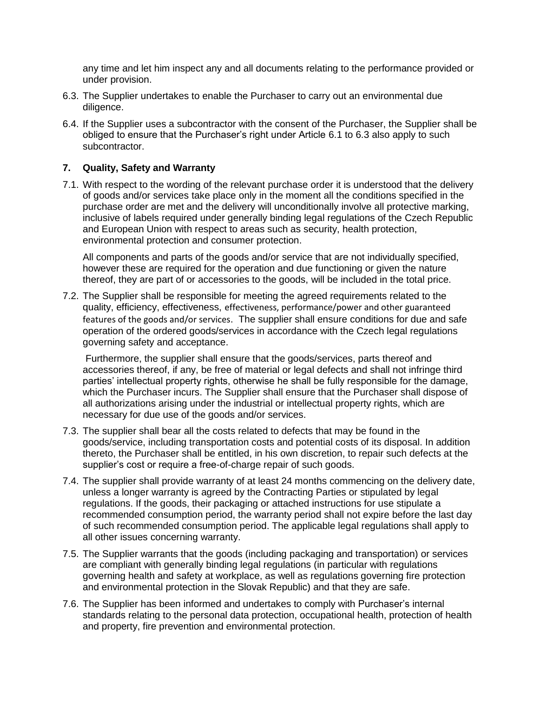any time and let him inspect any and all documents relating to the performance provided or under provision.

- 6.3. The Supplier undertakes to enable the Purchaser to carry out an environmental due diligence.
- 6.4. If the Supplier uses a subcontractor with the consent of the Purchaser, the Supplier shall be obliged to ensure that the Purchaser's right under Article 6.1 to 6.3 also apply to such subcontractor.

### **7. Quality, Safety and Warranty**

7.1. With respect to the wording of the relevant purchase order it is understood that the delivery of goods and/or services take place only in the moment all the conditions specified in the purchase order are met and the delivery will unconditionally involve all protective marking, inclusive of labels required under generally binding legal regulations of the Czech Republic and European Union with respect to areas such as security, health protection, environmental protection and consumer protection.

All components and parts of the goods and/or service that are not individually specified, however these are required for the operation and due functioning or given the nature thereof, they are part of or accessories to the goods, will be included in the total price.

7.2. The Supplier shall be responsible for meeting the agreed requirements related to the quality, efficiency, effectiveness, effectiveness, performance/power and other guaranteed features of the goods and/or services. The supplier shall ensure conditions for due and safe operation of the ordered goods/services in accordance with the Czech legal regulations governing safety and acceptance.

Furthermore, the supplier shall ensure that the goods/services, parts thereof and accessories thereof, if any, be free of material or legal defects and shall not infringe third parties' intellectual property rights, otherwise he shall be fully responsible for the damage, which the Purchaser incurs. The Supplier shall ensure that the Purchaser shall dispose of all authorizations arising under the industrial or intellectual property rights, which are necessary for due use of the goods and/or services.

- 7.3. The supplier shall bear all the costs related to defects that may be found in the goods/service, including transportation costs and potential costs of its disposal. In addition thereto, the Purchaser shall be entitled, in his own discretion, to repair such defects at the supplier's cost or require a free-of-charge repair of such goods.
- 7.4. The supplier shall provide warranty of at least 24 months commencing on the delivery date, unless a longer warranty is agreed by the Contracting Parties or stipulated by legal regulations. If the goods, their packaging or attached instructions for use stipulate a recommended consumption period, the warranty period shall not expire before the last day of such recommended consumption period. The applicable legal regulations shall apply to all other issues concerning warranty.
- 7.5. The Supplier warrants that the goods (including packaging and transportation) or services are compliant with generally binding legal regulations (in particular with regulations governing health and safety at workplace, as well as regulations governing fire protection and environmental protection in the Slovak Republic) and that they are safe.
- 7.6. The Supplier has been informed and undertakes to comply with Purchaser's internal standards relating to the personal data protection, occupational health, protection of health and property, fire prevention and environmental protection.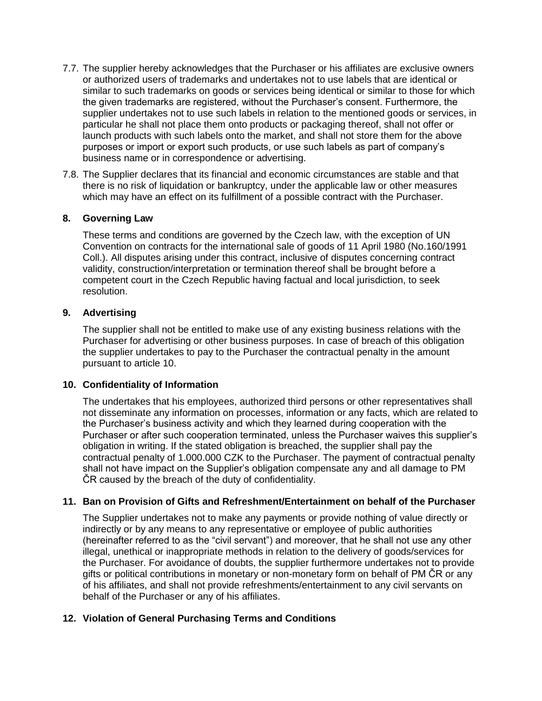- 7.7. The supplier hereby acknowledges that the Purchaser or his affiliates are exclusive owners or authorized users of trademarks and undertakes not to use labels that are identical or similar to such trademarks on goods or services being identical or similar to those for which the given trademarks are registered, without the Purchaser's consent. Furthermore, the supplier undertakes not to use such labels in relation to the mentioned goods or services, in particular he shall not place them onto products or packaging thereof, shall not offer or launch products with such labels onto the market, and shall not store them for the above purposes or import or export such products, or use such labels as part of company's business name or in correspondence or advertising.
- 7.8. The Supplier declares that its financial and economic circumstances are stable and that there is no risk of liquidation or bankruptcy, under the applicable law or other measures which may have an effect on its fulfillment of a possible contract with the Purchaser.

#### **8. Governing Law**

These terms and conditions are governed by the Czech law, with the exception of UN Convention on contracts for the international sale of goods of 11 April 1980 (No.160/1991 Coll.). All disputes arising under this contract, inclusive of disputes concerning contract validity, construction/interpretation or termination thereof shall be brought before a competent court in the Czech Republic having factual and local jurisdiction, to seek resolution.

#### **9. Advertising**

The supplier shall not be entitled to make use of any existing business relations with the Purchaser for advertising or other business purposes. In case of breach of this obligation the supplier undertakes to pay to the Purchaser the contractual penalty in the amount pursuant to article 10.

#### **10. Confidentiality of Information**

The undertakes that his employees, authorized third persons or other representatives shall not disseminate any information on processes, information or any facts, which are related to the Purchaser's business activity and which they learned during cooperation with the Purchaser or after such cooperation terminated, unless the Purchaser waives this supplier's obligation in writing. If the stated obligation is breached, the supplier shall pay the contractual penalty of 1.000.000 CZK to the Purchaser. The payment of contractual penalty shall not have impact on the Supplier's obligation compensate any and all damage to PM ČR caused by the breach of the duty of confidentiality.

# **11. Ban on Provision of Gifts and Refreshment/Entertainment on behalf of the Purchaser**

The Supplier undertakes not to make any payments or provide nothing of value directly or indirectly or by any means to any representative or employee of public authorities (hereinafter referred to as the "civil servant") and moreover, that he shall not use any other illegal, unethical or inappropriate methods in relation to the delivery of goods/services for the Purchaser. For avoidance of doubts, the supplier furthermore undertakes not to provide gifts or political contributions in monetary or non-monetary form on behalf of PM ČR or any of his affiliates, and shall not provide refreshments/entertainment to any civil servants on behalf of the Purchaser or any of his affiliates.

#### **12. Violation of General Purchasing Terms and Conditions**